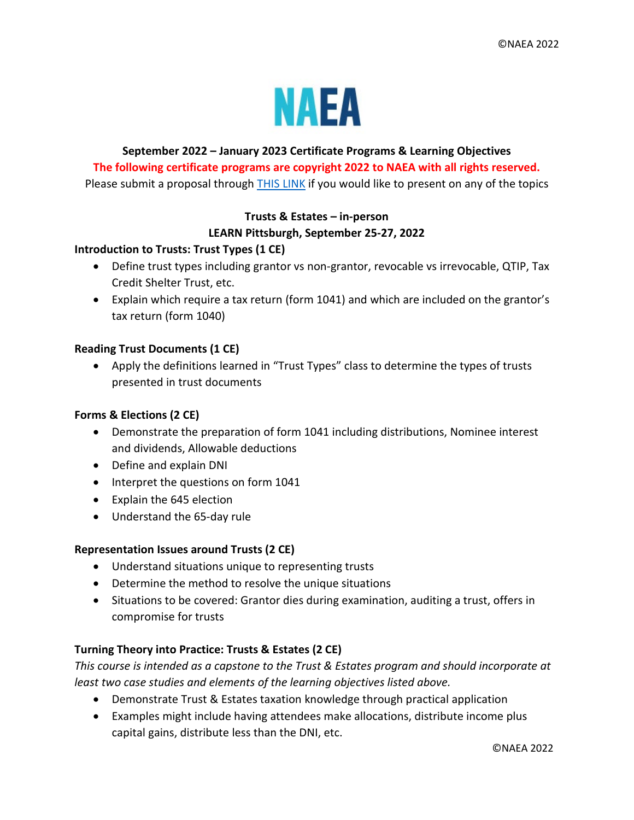

# **September 2022 – January 2023 Certificate Programs & Learning Objectives The following certificate programs are copyright 2022 to NAEA with all rights reserved.**

Please submit a proposal through [THIS LINK](https://www.abstractscorecard.com/cfp/submit/login.asp?EventKey=YQTKDPMM) if you would like to present on any of the topics

## **Trusts & Estates – in-person LEARN Pittsburgh, September 25-27, 2022**

## **Introduction to Trusts: Trust Types (1 CE)**

- Define trust types including grantor vs non-grantor, revocable vs irrevocable, QTIP, Tax Credit Shelter Trust, etc.
- Explain which require a tax return (form 1041) and which are included on the grantor's tax return (form 1040)

## **Reading Trust Documents (1 CE)**

• Apply the definitions learned in "Trust Types" class to determine the types of trusts presented in trust documents

## **Forms & Elections (2 CE)**

- Demonstrate the preparation of form 1041 including distributions, Nominee interest and dividends, Allowable deductions
- Define and explain DNI
- Interpret the questions on form 1041
- Explain the 645 election
- Understand the 65-day rule

## **Representation Issues around Trusts (2 CE)**

- Understand situations unique to representing trusts
- Determine the method to resolve the unique situations
- Situations to be covered: Grantor dies during examination, auditing a trust, offers in compromise for trusts

## **Turning Theory into Practice: Trusts & Estates (2 CE)**

*This course is intended as a capstone to the Trust & Estates program and should incorporate at least two case studies and elements of the learning objectives listed above.* 

- Demonstrate Trust & Estates taxation knowledge through practical application
- Examples might include having attendees make allocations, distribute income plus capital gains, distribute less than the DNI, etc.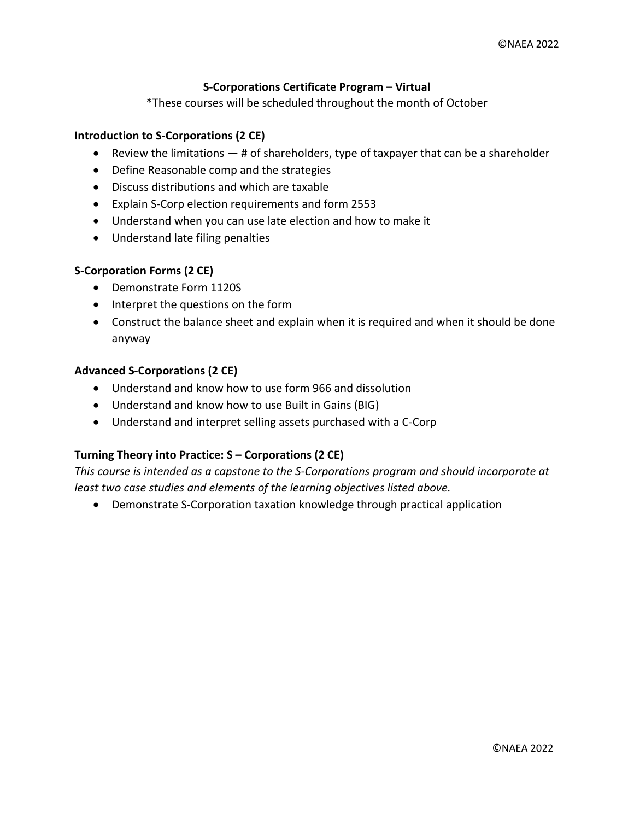## **S-Corporations Certificate Program – Virtual**

\*These courses will be scheduled throughout the month of October

#### **Introduction to S-Corporations (2 CE)**

- Review the limitations  $-$  # of shareholders, type of taxpayer that can be a shareholder
- Define Reasonable comp and the strategies
- Discuss distributions and which are taxable
- Explain S-Corp election requirements and form 2553
- Understand when you can use late election and how to make it
- Understand late filing penalties

#### **S-Corporation Forms (2 CE)**

- Demonstrate Form 1120S
- Interpret the questions on the form
- Construct the balance sheet and explain when it is required and when it should be done anyway

#### **Advanced S-Corporations (2 CE)**

- Understand and know how to use form 966 and dissolution
- Understand and know how to use Built in Gains (BIG)
- Understand and interpret selling assets purchased with a C-Corp

#### **Turning Theory into Practice: S – Corporations (2 CE)**

*This course is intended as a capstone to the S-Corporations program and should incorporate at least two case studies and elements of the learning objectives listed above.*

• Demonstrate S-Corporation taxation knowledge through practical application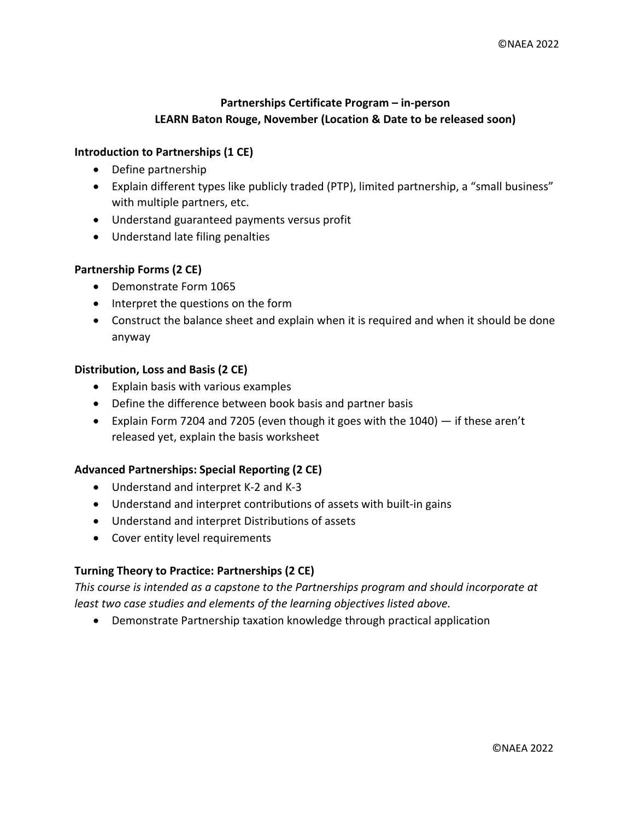## **Partnerships Certificate Program – in-person LEARN Baton Rouge, November (Location & Date to be released soon)**

## **Introduction to Partnerships (1 CE)**

- Define partnership
- Explain different types like publicly traded (PTP), limited partnership, a "small business" with multiple partners, etc.
- Understand guaranteed payments versus profit
- Understand late filing penalties

## **Partnership Forms (2 CE)**

- Demonstrate Form 1065
- Interpret the questions on the form
- Construct the balance sheet and explain when it is required and when it should be done anyway

## **Distribution, Loss and Basis (2 CE)**

- Explain basis with various examples
- Define the difference between book basis and partner basis
- Explain Form 7204 and 7205 (even though it goes with the 1040) if these aren't released yet, explain the basis worksheet

## **Advanced Partnerships: Special Reporting (2 CE)**

- Understand and interpret K-2 and K-3
- Understand and interpret contributions of assets with built-in gains
- Understand and interpret Distributions of assets
- Cover entity level requirements

## **Turning Theory to Practice: Partnerships (2 CE)**

*This course is intended as a capstone to the Partnerships program and should incorporate at least two case studies and elements of the learning objectives listed above.*

• Demonstrate Partnership taxation knowledge through practical application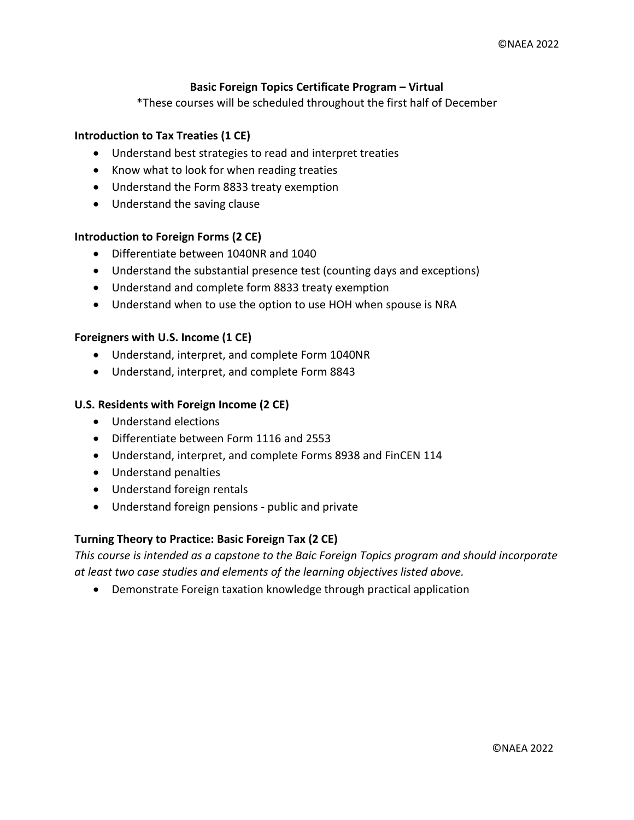## **Basic Foreign Topics Certificate Program – Virtual**

\*These courses will be scheduled throughout the first half of December

## **Introduction to Tax Treaties (1 CE)**

- Understand best strategies to read and interpret treaties
- Know what to look for when reading treaties
- Understand the Form 8833 treaty exemption
- Understand the saving clause

#### **Introduction to Foreign Forms (2 CE)**

- Differentiate between 1040NR and 1040
- Understand the substantial presence test (counting days and exceptions)
- Understand and complete form 8833 treaty exemption
- Understand when to use the option to use HOH when spouse is NRA

#### **Foreigners with U.S. Income (1 CE)**

- Understand, interpret, and complete Form 1040NR
- Understand, interpret, and complete Form 8843

#### **U.S. Residents with Foreign Income (2 CE)**

- Understand elections
- Differentiate between Form 1116 and 2553
- Understand, interpret, and complete Forms 8938 and FinCEN 114
- Understand penalties
- Understand foreign rentals
- Understand foreign pensions public and private

#### **Turning Theory to Practice: Basic Foreign Tax (2 CE)**

*This course is intended as a capstone to the Baic Foreign Topics program and should incorporate at least two case studies and elements of the learning objectives listed above.*

• Demonstrate Foreign taxation knowledge through practical application